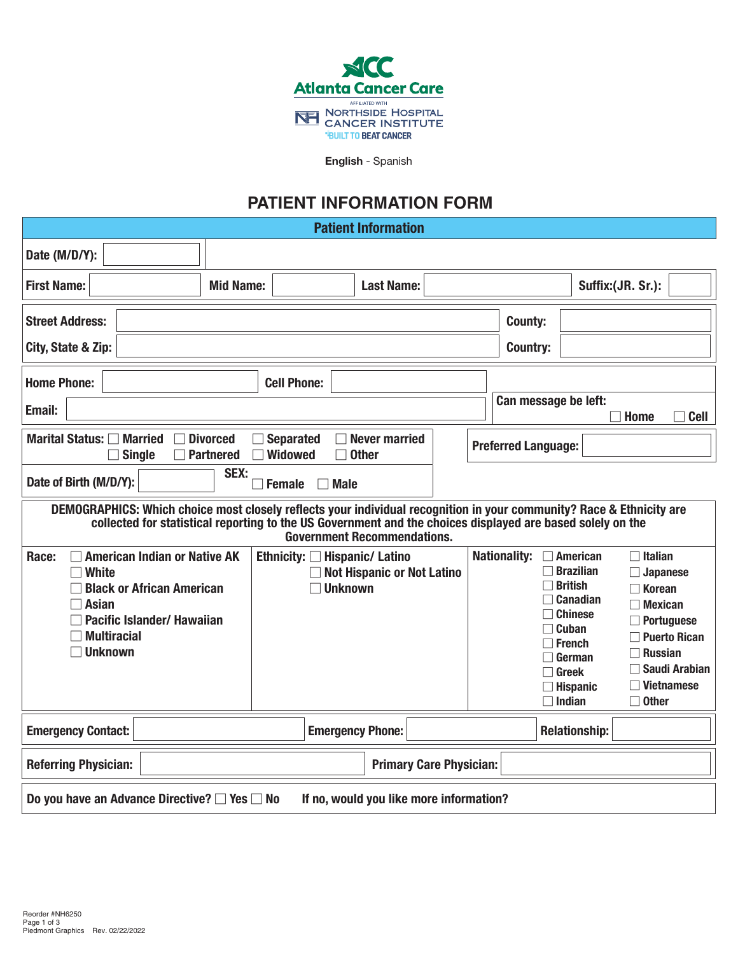

English - Spanish

## **PATIENT INFORMATION FORM**

Patient Information

| Date (M/D/Y):                                                                                                                                                                                                                                                            |                                     |                                    |                                                                                      |  |                                   |                                                                                                                                                                                    |                                                                                                                                                                                        |
|--------------------------------------------------------------------------------------------------------------------------------------------------------------------------------------------------------------------------------------------------------------------------|-------------------------------------|------------------------------------|--------------------------------------------------------------------------------------|--|-----------------------------------|------------------------------------------------------------------------------------------------------------------------------------------------------------------------------------|----------------------------------------------------------------------------------------------------------------------------------------------------------------------------------------|
| <b>First Name:</b>                                                                                                                                                                                                                                                       | <b>Mid Name:</b>                    |                                    | <b>Last Name:</b>                                                                    |  |                                   |                                                                                                                                                                                    | Suffix:(JR. Sr.):                                                                                                                                                                      |
| <b>Street Address:</b><br>City, State & Zip:                                                                                                                                                                                                                             |                                     |                                    |                                                                                      |  | <b>County:</b><br><b>Country:</b> |                                                                                                                                                                                    |                                                                                                                                                                                        |
| <b>Home Phone:</b><br>Email:                                                                                                                                                                                                                                             |                                     | <b>Cell Phone:</b>                 |                                                                                      |  | Can message be left:              |                                                                                                                                                                                    | <b>Home</b><br>$\Box$ Cell                                                                                                                                                             |
| Marital Status: □ Married<br>$\Box$ Single                                                                                                                                                                                                                               | <b>Divorced</b><br><b>Partnered</b> | <b>Separated</b><br><b>Widowed</b> | <b>Never married</b><br>$\Box$ Other                                                 |  | <b>Preferred Language:</b>        |                                                                                                                                                                                    |                                                                                                                                                                                        |
| Date of Birth (M/D/Y):                                                                                                                                                                                                                                                   | SEX:                                | <b>Female</b>                      | <b>Male</b>                                                                          |  |                                   |                                                                                                                                                                                    |                                                                                                                                                                                        |
| DEMOGRAPHICS: Which choice most closely reflects your individual recognition in your community? Race & Ethnicity are<br>collected for statistical reporting to the US Government and the choices displayed are based solely on the<br><b>Government Recommendations.</b> |                                     |                                    |                                                                                      |  |                                   |                                                                                                                                                                                    |                                                                                                                                                                                        |
| <b>American Indian or Native AK</b><br>Race:<br><b>White</b><br><b>Black or African American</b><br><b>Asian</b><br>Pacific Islander/ Hawaiian<br><b>Multiracial</b><br><b>Unknown</b>                                                                                   |                                     |                                    | Ethnicity: □ Hispanic/ Latino<br><b>Not Hispanic or Not Latino</b><br><b>Unknown</b> |  | <b>Nationality:</b>               | $\Box$ American<br>$\Box$ Brazilian<br>$\Box$ British<br>$\Box$ Canadian<br>$\Box$ Chinese<br>$\Box$ Cuban<br>$\Box$ French<br>German<br>Greek<br>$\Box$ Hispanic<br>$\Box$ Indian | Italian<br><b>Japanese</b><br><b>Korean</b><br><b>Mexican</b><br>Portuguese<br><b>Puerto Rican</b><br>$\exists$ Russian<br><b>Saudi Arabian</b><br><b>Vietnamese</b><br>$\sqcap$ Other |
| <b>Emergency Contact:</b>                                                                                                                                                                                                                                                |                                     |                                    | <b>Emergency Phone:</b>                                                              |  |                                   | <b>Relationship:</b>                                                                                                                                                               |                                                                                                                                                                                        |
| <b>Referring Physician:</b><br><b>Primary Care Physician:</b>                                                                                                                                                                                                            |                                     |                                    |                                                                                      |  |                                   |                                                                                                                                                                                    |                                                                                                                                                                                        |
| Do you have an Advance Directive? $\Box$ Yes $\Box$ No<br>If no, would you like more information?                                                                                                                                                                        |                                     |                                    |                                                                                      |  |                                   |                                                                                                                                                                                    |                                                                                                                                                                                        |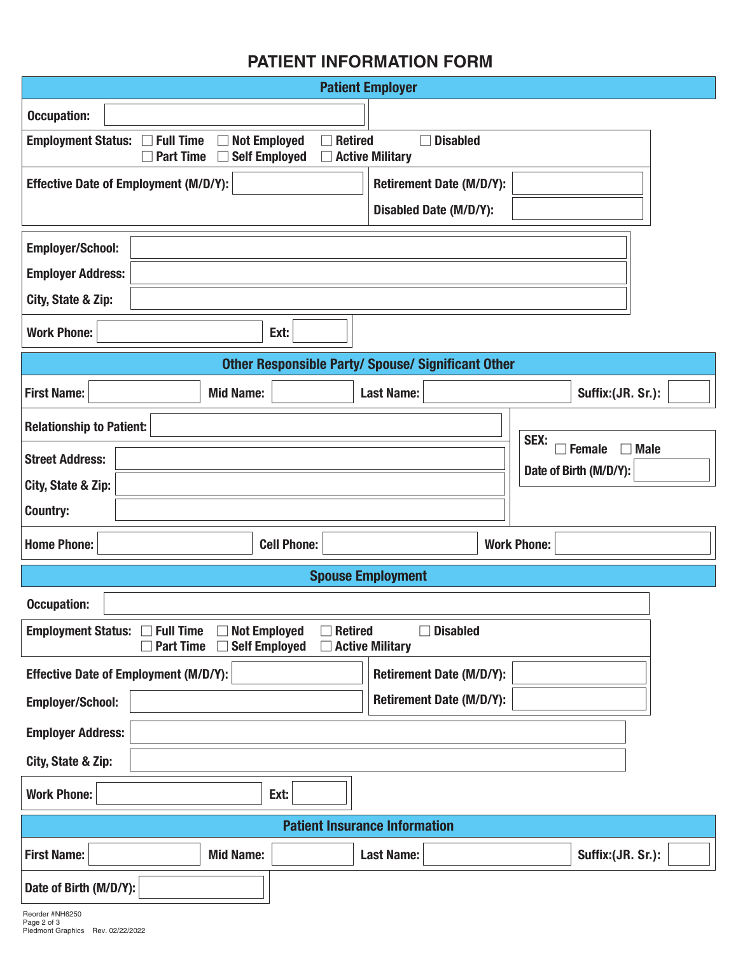## **PATIENT INFORMATION FORM**

| <b>Patient Employer</b>                                                                                                                                                         |                                      |                        |  |  |  |  |  |
|---------------------------------------------------------------------------------------------------------------------------------------------------------------------------------|--------------------------------------|------------------------|--|--|--|--|--|
| <b>Occupation:</b>                                                                                                                                                              |                                      |                        |  |  |  |  |  |
| <b>Employment Status:</b><br><b>Full Time</b><br><b>Not Employed</b><br><b>Retired</b><br><b>Disabled</b><br><b>Self Employed</b><br><b>Part Time</b><br><b>Active Military</b> |                                      |                        |  |  |  |  |  |
| <b>Effective Date of Employment (M/D/Y):</b>                                                                                                                                    | <b>Retirement Date (M/D/Y):</b>      |                        |  |  |  |  |  |
|                                                                                                                                                                                 | <b>Disabled Date (M/D/Y):</b>        |                        |  |  |  |  |  |
| <b>Employer/School:</b>                                                                                                                                                         |                                      |                        |  |  |  |  |  |
| <b>Employer Address:</b>                                                                                                                                                        |                                      |                        |  |  |  |  |  |
| City, State & Zip:                                                                                                                                                              |                                      |                        |  |  |  |  |  |
| <b>Work Phone:</b><br>Ext:                                                                                                                                                      |                                      |                        |  |  |  |  |  |
| <b>Other Responsible Party/ Spouse/ Significant Other</b>                                                                                                                       |                                      |                        |  |  |  |  |  |
| <b>Mid Name:</b><br><b>First Name:</b>                                                                                                                                          | <b>Last Name:</b>                    | Suffix:(JR. Sr.):      |  |  |  |  |  |
| <b>Relationship to Patient:</b>                                                                                                                                                 |                                      |                        |  |  |  |  |  |
| <b>Street Address:</b>                                                                                                                                                          | SEX:<br><b>Female</b><br><b>Male</b> |                        |  |  |  |  |  |
| City, State & Zip:                                                                                                                                                              |                                      | Date of Birth (M/D/Y): |  |  |  |  |  |
| <b>Country:</b>                                                                                                                                                                 |                                      |                        |  |  |  |  |  |
| <b>Home Phone:</b><br><b>Cell Phone:</b>                                                                                                                                        |                                      | <b>Work Phone:</b>     |  |  |  |  |  |
| <b>Spouse Employment</b>                                                                                                                                                        |                                      |                        |  |  |  |  |  |
| <b>Occupation:</b>                                                                                                                                                              |                                      |                        |  |  |  |  |  |
| Employment Status: □ Full Time<br><b>Not Employed</b><br><b>Disabled</b><br>$\Box$ Retired<br>П<br><b>Self Employed</b><br><b>Part Time</b><br>$\Box$ Active Military           |                                      |                        |  |  |  |  |  |
| <b>Effective Date of Employment (M/D/Y):</b>                                                                                                                                    | <b>Retirement Date (M/D/Y):</b>      |                        |  |  |  |  |  |
| <b>Employer/School:</b>                                                                                                                                                         | <b>Retirement Date (M/D/Y):</b>      |                        |  |  |  |  |  |
| <b>Employer Address:</b>                                                                                                                                                        |                                      |                        |  |  |  |  |  |
| City, State & Zip:                                                                                                                                                              |                                      |                        |  |  |  |  |  |
| <b>Work Phone:</b><br>Ext:                                                                                                                                                      |                                      |                        |  |  |  |  |  |
|                                                                                                                                                                                 |                                      |                        |  |  |  |  |  |
|                                                                                                                                                                                 | <b>Patient Insurance Information</b> |                        |  |  |  |  |  |
| <b>Mid Name:</b><br><b>First Name:</b>                                                                                                                                          | <b>Last Name:</b>                    | Suffix:(JR. Sr.):      |  |  |  |  |  |